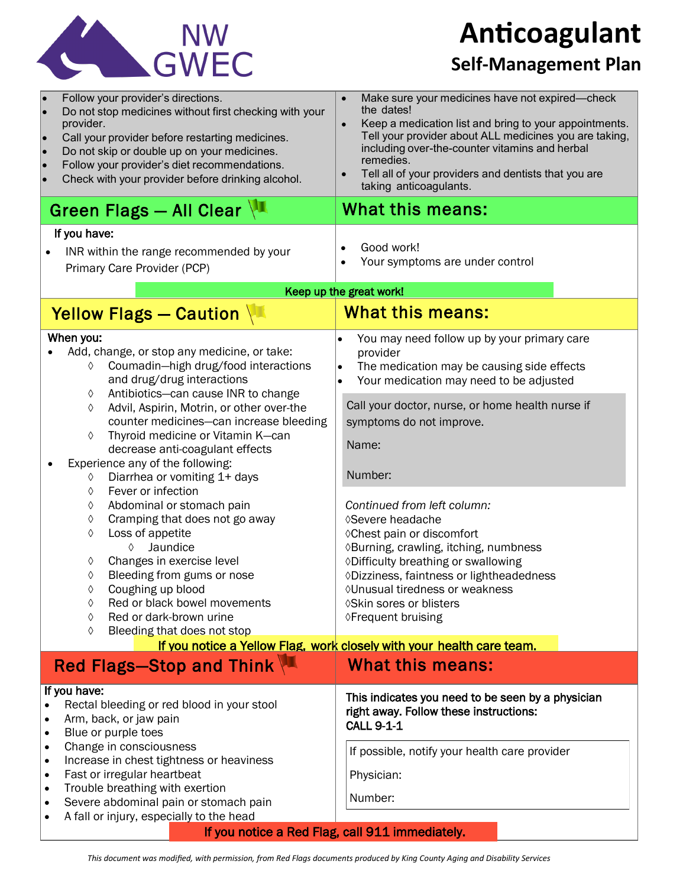

**Anticoagulant**

## **Self-Management Plan**

| Follow your provider's directions.<br>Do not stop medicines without first checking with your<br>provider.<br>Call your provider before restarting medicines.<br>lo<br>Do not skip or double up on your medicines.<br>lo<br>Follow your provider's diet recommendations.<br>lo<br>Check with your provider before drinking alcohol.<br>Green Flags - All Clear<br>If you have:<br>INR within the range recommended by your                                                                                                                                                                                                                                                                                                                                                           | Make sure your medicines have not expired-check<br>$\bullet$<br>the dates!<br>Keep a medication list and bring to your appointments.<br>Tell your provider about ALL medicines you are taking,<br>including over-the-counter vitamins and herbal<br>remedies.<br>Tell all of your providers and dentists that you are<br>taking anticoagulants.<br>What this means:<br>Good work!                                                                                                                                                                            |
|-------------------------------------------------------------------------------------------------------------------------------------------------------------------------------------------------------------------------------------------------------------------------------------------------------------------------------------------------------------------------------------------------------------------------------------------------------------------------------------------------------------------------------------------------------------------------------------------------------------------------------------------------------------------------------------------------------------------------------------------------------------------------------------|--------------------------------------------------------------------------------------------------------------------------------------------------------------------------------------------------------------------------------------------------------------------------------------------------------------------------------------------------------------------------------------------------------------------------------------------------------------------------------------------------------------------------------------------------------------|
| Primary Care Provider (PCP)                                                                                                                                                                                                                                                                                                                                                                                                                                                                                                                                                                                                                                                                                                                                                         | Your symptoms are under control                                                                                                                                                                                                                                                                                                                                                                                                                                                                                                                              |
| Keep up the great work!                                                                                                                                                                                                                                                                                                                                                                                                                                                                                                                                                                                                                                                                                                                                                             |                                                                                                                                                                                                                                                                                                                                                                                                                                                                                                                                                              |
| Yellow Flags - Caution                                                                                                                                                                                                                                                                                                                                                                                                                                                                                                                                                                                                                                                                                                                                                              | <b>What this means:</b>                                                                                                                                                                                                                                                                                                                                                                                                                                                                                                                                      |
| When you:<br>Add, change, or stop any medicine, or take:<br>Coumadin-high drug/food interactions<br>♦<br>and drug/drug interactions<br>Antibiotics-can cause INR to change<br>♦<br>Advil, Aspirin, Motrin, or other over-the<br>♦<br>counter medicines-can increase bleeding<br>Thyroid medicine or Vitamin K-can<br>♦<br>decrease anti-coagulant effects<br>Experience any of the following:<br>Diarrhea or vomiting 1+ days<br>♦<br>Fever or infection<br>♦<br>Abdominal or stomach pain<br>♦<br>Cramping that does not go away<br>♦<br>Loss of appetite<br>♦<br>Jaundice<br>♦<br>Changes in exercise level<br>♦<br>Bleeding from gums or nose<br>♦<br>Coughing up blood<br>Red or black bowel movements<br>♦<br>Red or dark-brown urine<br>♦<br>Bleeding that does not stop<br>♦ | You may need follow up by your primary care<br>provider<br>The medication may be causing side effects<br>Your medication may need to be adjusted<br>Call your doctor, nurse, or home health nurse if<br>symptoms do not improve.<br>Name:<br>Number:<br>Continued from left column:<br><b>◊Severe headache</b><br>◊ Chest pain or discomfort<br>◊Burning, crawling, itching, numbness<br>◊Difficulty breathing or swallowing<br>◊Dizziness, faintness or lightheadedness<br>◊ Unusual tiredness or weakness<br>♦Skin sores or blisters<br>◊Frequent bruising |
| If you notice a Yellow Flag, work closely with your health care team.                                                                                                                                                                                                                                                                                                                                                                                                                                                                                                                                                                                                                                                                                                               |                                                                                                                                                                                                                                                                                                                                                                                                                                                                                                                                                              |
| Red Flags-Stop and Think                                                                                                                                                                                                                                                                                                                                                                                                                                                                                                                                                                                                                                                                                                                                                            | <b>What this means:</b>                                                                                                                                                                                                                                                                                                                                                                                                                                                                                                                                      |
| If you have:<br>Rectal bleeding or red blood in your stool<br>Arm, back, or jaw pain<br>Blue or purple toes<br>Change in consciousness<br>Increase in chest tightness or heaviness<br>$\bullet$<br>Fast or irregular heartbeat<br>٠<br>Trouble breathing with exertion<br>$\bullet$<br>Severe abdominal pain or stomach pain<br>$\bullet$<br>A fall or injury, especially to the head<br>٠                                                                                                                                                                                                                                                                                                                                                                                          | This indicates you need to be seen by a physician<br>right away. Follow these instructions:<br><b>CALL 9-1-1</b><br>If possible, notify your health care provider<br>Physician:<br>Number:                                                                                                                                                                                                                                                                                                                                                                   |
| If you notice a Red Flag, call 911 immediately.                                                                                                                                                                                                                                                                                                                                                                                                                                                                                                                                                                                                                                                                                                                                     |                                                                                                                                                                                                                                                                                                                                                                                                                                                                                                                                                              |

*This document was modified, with permission, from Red Flags documents produced by King County Aging and Disability Services*